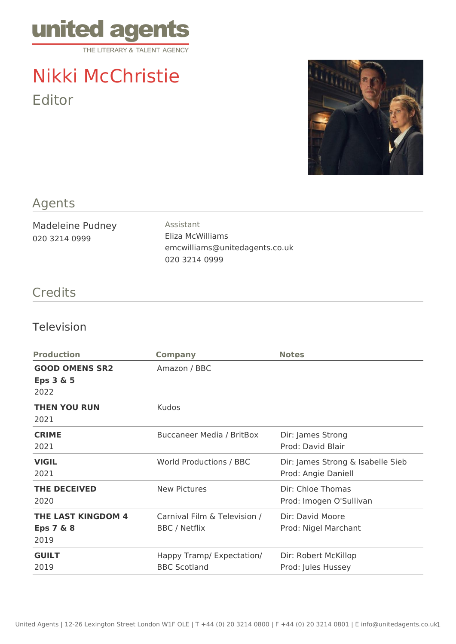

## Nikki McChristie Editor



## Agents

Madeleine Pudney 020 3214 0999

Assistant Eliza McWilliams emcwilliams@unitedagents.co.uk 020 3214 0999

## **Credits**

## Television

| <b>Production</b>                                         | <b>Company</b>                                       | <b>Notes</b>                                             |
|-----------------------------------------------------------|------------------------------------------------------|----------------------------------------------------------|
| <b>GOOD OMENS SR2</b><br>Eps $3 & 5$<br>2022              | Amazon / BBC                                         |                                                          |
| <b>THEN YOU RUN</b><br>2021                               | <b>Kudos</b>                                         |                                                          |
| <b>CRIME</b><br>2021                                      | <b>Buccaneer Media / BritBox</b>                     | Dir: James Strong<br>Prod: David Blair                   |
| <b>VIGIL</b><br>2021                                      | World Productions / BBC                              | Dir: James Strong & Isabelle Sieb<br>Prod: Angie Daniell |
| <b>THE DECEIVED</b><br>2020                               | <b>New Pictures</b>                                  | Dir: Chloe Thomas<br>Prod: Imogen O'Sullivan             |
| <b>THE LAST KINGDOM 4</b><br><b>Eps 7 &amp; 8</b><br>2019 | Carnival Film & Television /<br><b>BBC</b> / Netflix | Dir: David Moore<br>Prod: Nigel Marchant                 |
| <b>GUILT</b><br>2019                                      | Happy Tramp/ Expectation/<br><b>BBC Scotland</b>     | Dir: Robert McKillop<br>Prod: Jules Hussey               |